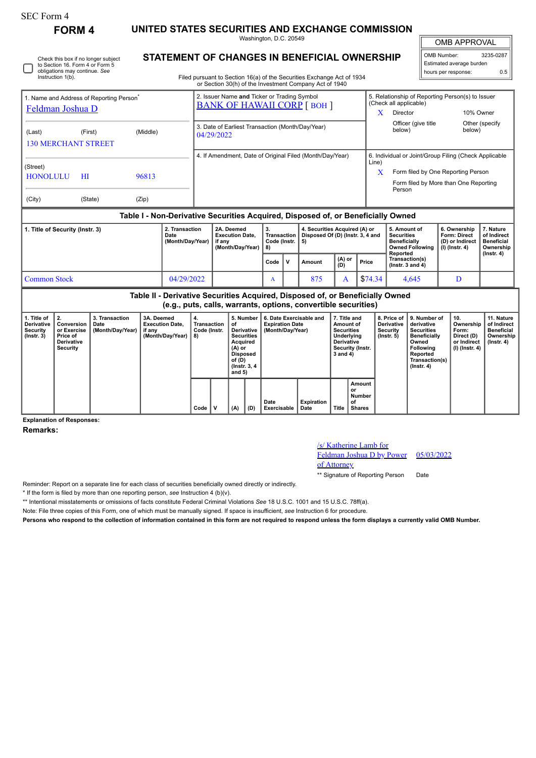## SEC Form 4

Instruction 1(b).

Check this box if no longer subject to Section 16. Form 4 or Form 5 obligations may continue. *See*

**FORM 4 UNITED STATES SECURITIES AND EXCHANGE COMMISSION**

**STATEMENT OF CHANGES IN BENEFICIAL OWNERSHIP**

Washington, D.C. 20549

OMB APPROVAL

 $\mathbb{I}$ 

| OMB Number:              | 3235-0287 |  |  |  |  |  |  |  |  |
|--------------------------|-----------|--|--|--|--|--|--|--|--|
| Estimated average burden |           |  |  |  |  |  |  |  |  |
| hours per response:      | 0.5       |  |  |  |  |  |  |  |  |

Filed pursuant to Section 16(a) of the Securities Exchange Act of 1934 or Section 30(h) of the Investment Company Act of 1940

| 1. Name and Address of Reporting Person <sup>®</sup><br>Feldman Joshua D         |                |                |                                    | 2. Issuer Name and Ticker or Trading Symbol<br><b>BANK OF HAWAII CORP [BOH ]</b> |      |                             |                                                                         | X      | 5. Relationship of Reporting Person(s) to Issuer<br>(Check all applicable)<br>10% Owner<br>Director |                                                                                                                                                              |                                                                          |                                                                          |  |
|----------------------------------------------------------------------------------|----------------|----------------|------------------------------------|----------------------------------------------------------------------------------|------|-----------------------------|-------------------------------------------------------------------------|--------|-----------------------------------------------------------------------------------------------------|--------------------------------------------------------------------------------------------------------------------------------------------------------------|--------------------------------------------------------------------------|--------------------------------------------------------------------------|--|
| (Last)<br><b>130 MERCHANT STREET</b>                                             | (First)        | (Middle)       |                                    | 3. Date of Earliest Transaction (Month/Day/Year)<br>04/29/2022                   |      |                             |                                                                         |        | Officer (give title<br>below)                                                                       | below)                                                                                                                                                       | Other (specify                                                           |                                                                          |  |
| (Street)<br><b>HONOLULU</b><br>(City)                                            | H I<br>(State) | 96813<br>(Zip) |                                    | 4. If Amendment, Date of Original Filed (Month/Day/Year)                         |      |                             |                                                                         |        |                                                                                                     | 6. Individual or Joint/Group Filing (Check Applicable<br>Line)<br>X<br>Form filed by One Reporting Person<br>Form filed by More than One Reporting<br>Person |                                                                          |                                                                          |  |
| Table I - Non-Derivative Securities Acquired, Disposed of, or Beneficially Owned |                |                |                                    |                                                                                  |      |                             |                                                                         |        |                                                                                                     |                                                                                                                                                              |                                                                          |                                                                          |  |
| 1. Title of Security (Instr. 3)<br>Date                                          |                |                | 2. Transaction<br>(Month/Day/Year) | 2A. Deemed<br><b>Execution Date.</b><br>if anv<br>(Month/Day/Year)               |      | Transaction<br>Code (Instr. | 4. Securities Acquired (A) or<br>Disposed Of (D) (Instr. 3, 4 and<br>5) | (A) or |                                                                                                     | 5. Amount of<br><b>Securities</b><br><b>Beneficially</b><br><b>Owned Following</b><br>Reported<br>Transaction(s)                                             | 6. Ownership<br><b>Form: Direct</b><br>(D) or Indirect<br>(I) (Instr. 4) | 7. Nature<br>of Indirect<br><b>Beneficial</b><br>Ownership<br>(Instr. 4) |  |
| $\sim$ $\sim$ $\sim$<br>0.110010000                                              |                |                |                                    |                                                                                  | Code | v                           | Amount<br>$\sim$ $\sim$                                                 | (D)    | Price<br>$\sum_{i=1}^{n}$                                                                           | $($ lnstr. 3 and 4 $)$<br>$\sim$                                                                                                                             | $\mathbf{r}$                                                             |                                                                          |  |

| <b>Common Stock</b>                                              |                                                                                                                                                 | 04/29/2022                                 |                                                                    |                                   |  |                                                                                                                                           | A   | 875                                                                   | A                         | \$74.34                                                                                                           |                                                      | 4.645                                                            | D                                                                                                                                                     |                                                                          |                                                                           |
|------------------------------------------------------------------|-------------------------------------------------------------------------------------------------------------------------------------------------|--------------------------------------------|--------------------------------------------------------------------|-----------------------------------|--|-------------------------------------------------------------------------------------------------------------------------------------------|-----|-----------------------------------------------------------------------|---------------------------|-------------------------------------------------------------------------------------------------------------------|------------------------------------------------------|------------------------------------------------------------------|-------------------------------------------------------------------------------------------------------------------------------------------------------|--------------------------------------------------------------------------|---------------------------------------------------------------------------|
|                                                                  | Table II - Derivative Securities Acquired, Disposed of, or Beneficially Owned<br>(e.g., puts, calls, warrants, options, convertible securities) |                                            |                                                                    |                                   |  |                                                                                                                                           |     |                                                                       |                           |                                                                                                                   |                                                      |                                                                  |                                                                                                                                                       |                                                                          |                                                                           |
| 1. Title of<br><b>Derivative</b><br>Security<br>$($ lnstr. 3 $)$ | Conversion<br>or Exercise<br>Price of<br>Derivative<br>Security                                                                                 | 3. Transaction<br>Date<br>(Month/Day/Year) | 3A. Deemed<br><b>Execution Date.</b><br>if any<br>(Month/Day/Year) | Transaction<br>Code (Instr.<br>8) |  | 5. Number<br>οf<br><b>Derivative</b><br><b>Securities</b><br>Acquired<br>(A) or<br><b>Disposed</b><br>of (D)<br>(Instr. 3, 4)<br>and $5)$ |     | 6. Date Exercisable and<br><b>Expiration Date</b><br>(Month/Day/Year) |                           | 7. Title and<br>Amount of<br><b>Securities</b><br>Underlying<br><b>Derivative</b><br>Security (Instr.<br>3 and 4) |                                                      | 8. Price of<br><b>Derivative</b><br>Security<br>$($ lnstr. 5 $)$ | 9. Number of<br>derivative<br><b>Securities</b><br><b>Beneficially</b><br>Owned<br><b>Following</b><br>Reported<br>Transaction(s)<br>$($ Instr. 4 $)$ | 10.<br>Ownership<br>Form:<br>Direct (D)<br>or Indirect<br>(I) (Instr. 4) | 11. Nature<br>of Indirect<br><b>Beneficial</b><br>Ownership<br>(Instr. 4) |
|                                                                  |                                                                                                                                                 |                                            |                                                                    | Code                              |  | (A)                                                                                                                                       | (D) | Date<br>Exercisable                                                   | <b>Expiration</b><br>Date | Title                                                                                                             | Amount<br>or<br><b>Number</b><br>οf<br><b>Shares</b> |                                                                  |                                                                                                                                                       |                                                                          |                                                                           |

**Explanation of Responses:**

## **Remarks:**

## /s/ Katherine Lamb for

Feldman Joshua D by Power 05/03/2022

of Attorney

\*\* Signature of Reporting Person Date

Reminder: Report on a separate line for each class of securities beneficially owned directly or indirectly.

\* If the form is filed by more than one reporting person, *see* Instruction 4 (b)(v).

\*\* Intentional misstatements or omissions of facts constitute Federal Criminal Violations *See* 18 U.S.C. 1001 and 15 U.S.C. 78ff(a).

Note: File three copies of this Form, one of which must be manually signed. If space is insufficient, *see* Instruction 6 for procedure.

**Persons who respond to the collection of information contained in this form are not required to respond unless the form displays a currently valid OMB Number.**